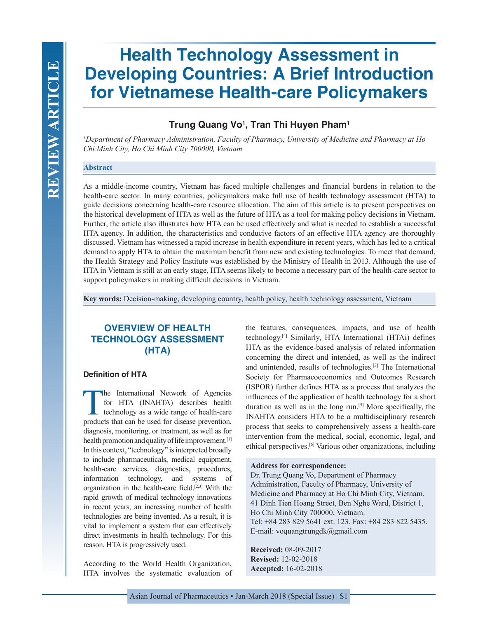# **Health Technology Assessment in Developing Countries: A Brief Introduction for Vietnamese Health-care Policymakers**

# **Trung Quang Vo1 , Tran Thi Huyen Pham1**

*1 Department of Pharmacy Administration, Faculty of Pharmacy, University of Medicine and Pharmacy at Ho Chi Minh City, Ho Chi Minh City 700000, Vietnam*

## **Abstract**

As a middle-income country, Vietnam has faced multiple challenges and financial burdens in relation to the health-care sector. In many countries, policymakers make full use of health technology assessment (HTA) to guide decisions concerning health-care resource allocation. The aim of this article is to present perspectives on the historical development of HTA as well as the future of HTA as a tool for making policy decisions in Vietnam. Further, the article also illustrates how HTA can be used effectively and what is needed to establish a successful HTA agency. In addition, the characteristics and conducive factors of an effective HTA agency are thoroughly discussed. Vietnam has witnessed a rapid increase in health expenditure in recent years, which has led to a critical demand to apply HTA to obtain the maximum benefit from new and existing technologies. To meet that demand, the Health Strategy and Policy Institute was established by the Ministry of Health in 2013. Although the use of HTA in Vietnam is still at an early stage, HTA seems likely to become a necessary part of the health-care sector to support policymakers in making difficult decisions in Vietnam.

**Key words:** Decision-making, developing country, health policy, health technology assessment, Vietnam

# **OVERVIEW OF HEALTH TECHNOLOGY ASSESSMENT (HTA)**

## **Definition of HTA**

The International Network of Agencies<br>for HTA (INAHTA) describes health<br>technology as a wide range of health-care<br>products that can be used for disease prevention for HTA (INAHTA) describes health technology as a wide range of health-care products that can be used for disease prevention, diagnosis, monitoring, or treatment, as well as for health promotion and quality of life improvement.<sup>[1]</sup> In this context, "technology" is interpreted broadly to include pharmaceuticals, medical equipment, health-care services, diagnostics, procedures, information technology, and systems of organization in the health-care field.[2,3] With the rapid growth of medical technology innovations in recent years, an increasing number of health technologies are being invented. As a result, it is vital to implement a system that can effectively direct investments in health technology. For this reason, HTA is progressively used.

According to the World Health Organization, HTA involves the systematic evaluation of the features, consequences, impacts, and use of health technology.[4] Similarly, HTA International (HTAi) defines HTA as the evidence-based analysis of related information concerning the direct and intended, as well as the indirect and unintended, results of technologies.[3] The International Society for Pharmacoeconomics and Outcomes Research (ISPOR) further defines HTA as a process that analyzes the influences of the application of health technology for a short duration as well as in the long run.[5] More specifically, the INAHTA considers HTA to be a multidisciplinary research process that seeks to comprehensively assess a health-care intervention from the medical, social, economic, legal, and ethical perspectives.[6] Various other organizations, including

#### **Address for correspondence:**

Dr. Trung Quang Vo, Department of Pharmacy Administration, Faculty of Pharmacy, University of Medicine and Pharmacy at Ho Chi Minh City, Vietnam. 41 Dinh Tien Hoang Street, Ben Nghe Ward, District 1, Ho Chi Minh City 700000, Vietnam. Tel: +84 283 829 5641 ext. 123. Fax: +84 283 822 5435. E-mail: voquangtrungdk@gmail.com

**Received:** 08-09-2017 **Revised:** 12-02-2018 **Accepted:** 16-02-2018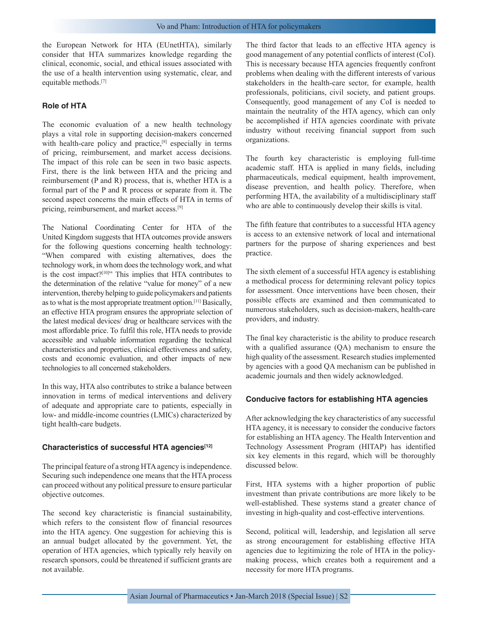the European Network for HTA (EUnetHTA), similarly consider that HTA summarizes knowledge regarding the clinical, economic, social, and ethical issues associated with the use of a health intervention using systematic, clear, and equitable methods.[7]

### **Role of HTA**

The economic evaluation of a new health technology plays a vital role in supporting decision-makers concerned with health-care policy and practice,<sup>[8]</sup> especially in terms of pricing, reimbursement, and market access decisions. The impact of this role can be seen in two basic aspects. First, there is the link between HTA and the pricing and reimbursement (P and R) process, that is, whether HTA is a formal part of the P and R process or separate from it. The second aspect concerns the main effects of HTA in terms of pricing, reimbursement, and market access.[9]

The National Coordinating Center for HTA of the United Kingdom suggests that HTA outcomes provide answers for the following questions concerning health technology: "When compared with existing alternatives, does the technology work, in whom does the technology work, and what is the cost impact?<sup>[10]</sup>" This implies that HTA contributes to the determination of the relative "value for money" of a new intervention, thereby helping to guide policymakers and patients as to what is the most appropriate treatment option.[11] Basically, an effective HTA program ensures the appropriate selection of the latest medical devices/ drug or healthcare services with the most affordable price. To fulfil this role, HTA needs to provide accessible and valuable information regarding the technical characteristics and properties, clinical effectiveness and safety, costs and economic evaluation, and other impacts of new technologies to all concerned stakeholders.

In this way, HTA also contributes to strike a balance between innovation in terms of medical interventions and delivery of adequate and appropriate care to patients, especially in low- and middle-income countries (LMICs) characterized by tight health-care budgets.

#### **Characteristics of successful HTA agencies[12]**

The principal feature of a strong HTA agency is independence. Securing such independence one means that the HTA process can proceed without any political pressure to ensure particular objective outcomes.

The second key characteristic is financial sustainability, which refers to the consistent flow of financial resources into the HTA agency. One suggestion for achieving this is an annual budget allocated by the government. Yet, the operation of HTA agencies, which typically rely heavily on research sponsors, could be threatened if sufficient grants are not available.

The third factor that leads to an effective HTA agency is good management of any potential conflicts of interest (CoI). This is necessary because HTA agencies frequently confront problems when dealing with the different interests of various stakeholders in the health-care sector, for example, health professionals, politicians, civil society, and patient groups. Consequently, good management of any CoI is needed to maintain the neutrality of the HTA agency, which can only be accomplished if HTA agencies coordinate with private industry without receiving financial support from such organizations.

The fourth key characteristic is employing full-time academic staff. HTA is applied in many fields, including pharmaceuticals, medical equipment, health improvement, disease prevention, and health policy. Therefore, when performing HTA, the availability of a multidisciplinary staff who are able to continuously develop their skills is vital.

The fifth feature that contributes to a successful HTA agency is access to an extensive network of local and international partners for the purpose of sharing experiences and best practice.

The sixth element of a successful HTA agency is establishing a methodical process for determining relevant policy topics for assessment. Once interventions have been chosen, their possible effects are examined and then communicated to numerous stakeholders, such as decision-makers, health-care providers, and industry.

The final key characteristic is the ability to produce research with a qualified assurance (QA) mechanism to ensure the high quality of the assessment. Research studies implemented by agencies with a good QA mechanism can be published in academic journals and then widely acknowledged.

#### **Conducive factors for establishing HTA agencies**

After acknowledging the key characteristics of any successful HTA agency, it is necessary to consider the conducive factors for establishing an HTA agency. The Health Intervention and Technology Assessment Program (HITAP) has identified six key elements in this regard, which will be thoroughly discussed below.

First, HTA systems with a higher proportion of public investment than private contributions are more likely to be well-established. These systems stand a greater chance of investing in high-quality and cost-effective interventions.

Second, political will, leadership, and legislation all serve as strong encouragement for establishing effective HTA agencies due to legitimizing the role of HTA in the policymaking process, which creates both a requirement and a necessity for more HTA programs.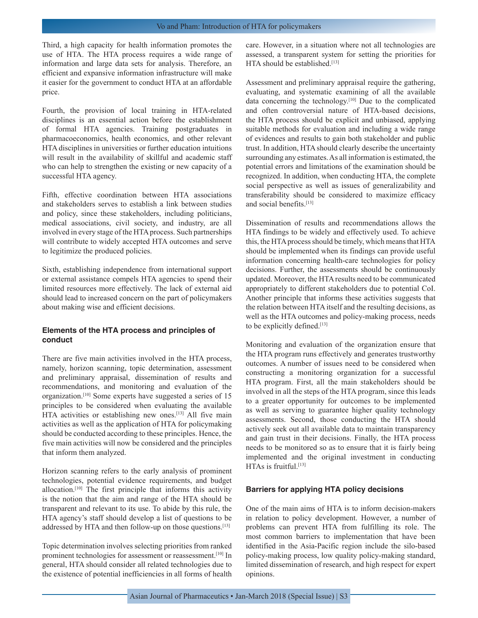Third, a high capacity for health information promotes the use of HTA. The HTA process requires a wide range of information and large data sets for analysis. Therefore, an efficient and expansive information infrastructure will make it easier for the government to conduct HTA at an affordable price.

Fourth, the provision of local training in HTA-related disciplines is an essential action before the establishment of formal HTA agencies. Training postgraduates in pharmacoeconomics, health economics, and other relevant HTA disciplines in universities or further education intuitions will result in the availability of skillful and academic staff who can help to strengthen the existing or new capacity of a successful HTA agency.

Fifth, effective coordination between HTA associations and stakeholders serves to establish a link between studies and policy, since these stakeholders, including politicians, medical associations, civil society, and industry, are all involved in every stage of the HTA process. Such partnerships will contribute to widely accepted HTA outcomes and serve to legitimize the produced policies.

Sixth, establishing independence from international support or external assistance compels HTA agencies to spend their limited resources more effectively. The lack of external aid should lead to increased concern on the part of policymakers about making wise and efficient decisions.

## **Elements of the HTA process and principles of conduct**

There are five main activities involved in the HTA process, namely, horizon scanning, topic determination, assessment and preliminary appraisal, dissemination of results and recommendations, and monitoring and evaluation of the organization.[10] Some experts have suggested a series of 15 principles to be considered when evaluating the available HTA activities or establishing new ones.<sup>[13]</sup> All five main activities as well as the application of HTA for policymaking should be conducted according to these principles. Hence, the five main activities will now be considered and the principles that inform them analyzed.

Horizon scanning refers to the early analysis of prominent technologies, potential evidence requirements, and budget allocation.[10] The first principle that informs this activity is the notion that the aim and range of the HTA should be transparent and relevant to its use. To abide by this rule, the HTA agency's staff should develop a list of questions to be addressed by HTA and then follow-up on those questions.[13]

Topic determination involves selecting priorities from ranked prominent technologies for assessment or reassessment.<sup>[10]</sup> In general, HTA should consider all related technologies due to the existence of potential inefficiencies in all forms of health care. However, in a situation where not all technologies are assessed, a transparent system for setting the priorities for HTA should be established.<sup>[13]</sup>

Assessment and preliminary appraisal require the gathering, evaluating, and systematic examining of all the available data concerning the technology.[10] Due to the complicated and often controversial nature of HTA-based decisions, the HTA process should be explicit and unbiased, applying suitable methods for evaluation and including a wide range of evidences and results to gain both stakeholder and public trust. In addition, HTA should clearly describe the uncertainty surrounding any estimates. As all information is estimated, the potential errors and limitations of the examination should be recognized. In addition, when conducting HTA, the complete social perspective as well as issues of generalizability and transferability should be considered to maximize efficacy and social benefits.<sup>[13]</sup>

Dissemination of results and recommendations allows the HTA findings to be widely and effectively used. To achieve this, the HTA process should be timely, which means that HTA should be implemented when its findings can provide useful information concerning health-care technologies for policy decisions. Further, the assessments should be continuously updated. Moreover, the HTA results need to be communicated appropriately to different stakeholders due to potential CoI. Another principle that informs these activities suggests that the relation between HTA itself and the resulting decisions, as well as the HTA outcomes and policy-making process, needs to be explicitly defined.[13]

Monitoring and evaluation of the organization ensure that the HTA program runs effectively and generates trustworthy outcomes. A number of issues need to be considered when constructing a monitoring organization for a successful HTA program. First, all the main stakeholders should be involved in all the steps of the HTA program, since this leads to a greater opportunity for outcomes to be implemented as well as serving to guarantee higher quality technology assessments. Second, those conducting the HTA should actively seek out all available data to maintain transparency and gain trust in their decisions. Finally, the HTA process needs to be monitored so as to ensure that it is fairly being implemented and the original investment in conducting HTAs is fruitful.[13]

#### **Barriers for applying HTA policy decisions**

One of the main aims of HTA is to inform decision-makers in relation to policy development. However, a number of problems can prevent HTA from fulfilling its role. The most common barriers to implementation that have been identified in the Asia-Pacific region include the silo-based policy-making process, low quality policy-making standard, limited dissemination of research, and high respect for expert opinions.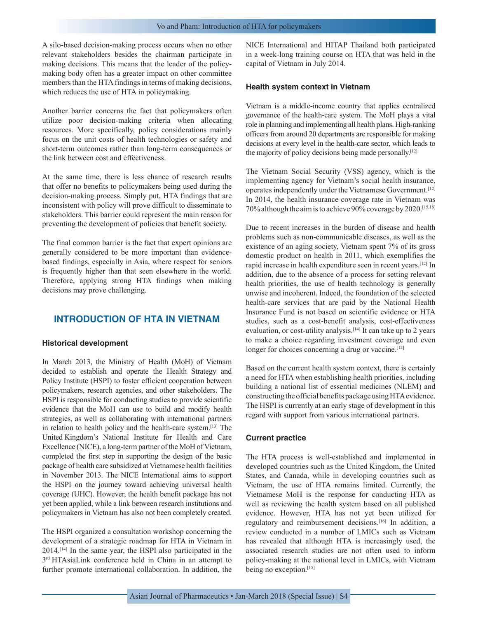A silo-based decision-making process occurs when no other relevant stakeholders besides the chairman participate in making decisions. This means that the leader of the policymaking body often has a greater impact on other committee members than the HTA findings in terms of making decisions, which reduces the use of HTA in policymaking.

Another barrier concerns the fact that policymakers often utilize poor decision-making criteria when allocating resources. More specifically, policy considerations mainly focus on the unit costs of health technologies or safety and short-term outcomes rather than long-term consequences or the link between cost and effectiveness.

At the same time, there is less chance of research results that offer no benefits to policymakers being used during the decision-making process. Simply put, HTA findings that are inconsistent with policy will prove difficult to disseminate to stakeholders. This barrier could represent the main reason for preventing the development of policies that benefit society.

The final common barrier is the fact that expert opinions are generally considered to be more important than evidencebased findings, especially in Asia, where respect for seniors is frequently higher than that seen elsewhere in the world. Therefore, applying strong HTA findings when making decisions may prove challenging.

# **INTRODUCTION OF HTA IN VIETNAM**

#### **Historical development**

In March 2013, the Ministry of Health (MoH) of Vietnam decided to establish and operate the Health Strategy and Policy Institute (HSPI) to foster efficient cooperation between policymakers, research agencies, and other stakeholders. The HSPI is responsible for conducting studies to provide scientific evidence that the MoH can use to build and modify health strategies, as well as collaborating with international partners in relation to health policy and the health-care system.[13] The United Kingdom's National Institute for Health and Care Excellence (NICE), a long-term partner of the MoH of Vietnam, completed the first step in supporting the design of the basic package of health care subsidized at Vietnamese health facilities in November 2013. The NICE International aims to support the HSPI on the journey toward achieving universal health coverage (UHC). However, the health benefit package has not yet been applied, while a link between research institutions and policymakers in Vietnam has also not been completely created.

The HSPI organized a consultation workshop concerning the development of a strategic roadmap for HTA in Vietnam in 2014.[14] In the same year, the HSPI also participated in the 3<sup>rd</sup> HTAsiaLink conference held in China in an attempt to further promote international collaboration. In addition, the NICE International and HITAP Thailand both participated in a week-long training course on HTA that was held in the capital of Vietnam in July 2014.

#### **Health system context in Vietnam**

Vietnam is a middle-income country that applies centralized governance of the health-care system. The MoH plays a vital role in planning and implementing all health plans. High-ranking officers from around 20 departments are responsible for making decisions at every level in the health-care sector, which leads to the majority of policy decisions being made personally.[12]

The Vietnam Social Security (VSS) agency, which is the implementing agency for Vietnam's social health insurance, operates independently under the Vietnamese Government.[12] In 2014, the health insurance coverage rate in Vietnam was 70% although the aim is to achieve 90% coverage by 2020.[15,16]

Due to recent increases in the burden of disease and health problems such as non-communicable diseases, as well as the existence of an aging society, Vietnam spent 7% of its gross domestic product on health in 2011, which exemplifies the rapid increase in health expenditure seen in recent years.[12] In addition, due to the absence of a process for setting relevant health priorities, the use of health technology is generally unwise and incoherent. Indeed, the foundation of the selected health-care services that are paid by the National Health Insurance Fund is not based on scientific evidence or HTA studies, such as a cost-benefit analysis, cost-effectiveness evaluation, or cost-utility analysis.<sup>[14]</sup> It can take up to 2 years to make a choice regarding investment coverage and even longer for choices concerning a drug or vaccine.<sup>[12]</sup>

Based on the current health system context, there is certainly a need for HTA when establishing health priorities, including building a national list of essential medicines (NLEM) and constructing the official benefits package using HTA evidence. The HSPI is currently at an early stage of development in this regard with support from various international partners.

#### **Current practice**

The HTA process is well-established and implemented in developed countries such as the United Kingdom, the United States, and Canada, while in developing countries such as Vietnam, the use of HTA remains limited. Currently, the Vietnamese MoH is the response for conducting HTA as well as reviewing the health system based on all published evidence. However, HTA has not yet been utilized for regulatory and reimbursement decisions.[16] In addition, a review conducted in a number of LMICs such as Vietnam has revealed that although HTA is increasingly used, the associated research studies are not often used to inform policy-making at the national level in LMICs, with Vietnam being no exception.<sup>[15]</sup>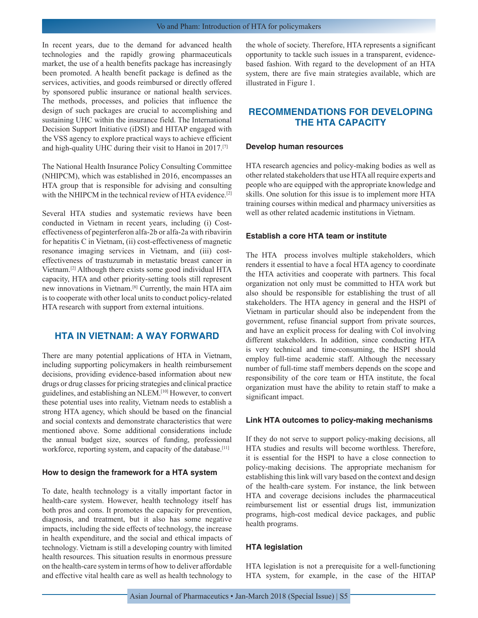In recent years, due to the demand for advanced health technologies and the rapidly growing pharmaceuticals market, the use of a health benefits package has increasingly been promoted. A health benefit package is defined as the services, activities, and goods reimbursed or directly offered by sponsored public insurance or national health services. The methods, processes, and policies that influence the design of such packages are crucial to accomplishing and sustaining UHC within the insurance field. The International Decision Support Initiative (iDSI) and HITAP engaged with the VSS agency to explore practical ways to achieve efficient and high-quality UHC during their visit to Hanoi in 2017.[7]

The National Health Insurance Policy Consulting Committee (NHIPCM), which was established in 2016, encompasses an HTA group that is responsible for advising and consulting with the NHIPCM in the technical review of HTA evidence.<sup>[2]</sup>

Several HTA studies and systematic reviews have been conducted in Vietnam in recent years, including (i) Costeffectiveness of peginterferon alfa-2b or alfa-2a with ribavirin for hepatitis C in Vietnam, (ii) cost-effectiveness of magnetic resonance imaging services in Vietnam, and (iii) costeffectiveness of trastuzumab in metastatic breast cancer in Vietnam.[2] Although there exists some good individual HTA capacity, HTA and other priority-setting tools still represent new innovations in Vietnam.[8] Currently, the main HTA aim is to cooperate with other local units to conduct policy-related HTA research with support from external intuitions.

# **HTA IN VIETNAM: A WAY FORWARD**

There are many potential applications of HTA in Vietnam, including supporting policymakers in health reimbursement decisions, providing evidence-based information about new drugs or drug classes for pricing strategies and clinical practice guidelines, and establishing an NLEM.[10] However, to convert these potential uses into reality, Vietnam needs to establish a strong HTA agency, which should be based on the financial and social contexts and demonstrate characteristics that were mentioned above. Some additional considerations include the annual budget size, sources of funding, professional workforce, reporting system, and capacity of the database.<sup>[11]</sup>

#### **How to design the framework for a HTA system**

To date, health technology is a vitally important factor in health-care system. However, health technology itself has both pros and cons. It promotes the capacity for prevention, diagnosis, and treatment, but it also has some negative impacts, including the side effects of technology, the increase in health expenditure, and the social and ethical impacts of technology. Vietnam is still a developing country with limited health resources. This situation results in enormous pressure on the health-care system in terms of how to deliver affordable and effective vital health care as well as health technology to the whole of society. Therefore, HTA represents a significant opportunity to tackle such issues in a transparent, evidencebased fashion. With regard to the development of an HTA system, there are five main strategies available, which are illustrated in Figure 1.

# **RECOMMENDATIONS FOR DEVELOPING THE HTA CAPACITY**

#### **Develop human resources**

HTA research agencies and policy-making bodies as well as other related stakeholders that use HTA all require experts and people who are equipped with the appropriate knowledge and skills. One solution for this issue is to implement more HTA training courses within medical and pharmacy universities as well as other related academic institutions in Vietnam.

## **Establish a core HTA team or institute**

The HTA process involves multiple stakeholders, which renders it essential to have a focal HTA agency to coordinate the HTA activities and cooperate with partners. This focal organization not only must be committed to HTA work but also should be responsible for establishing the trust of all stakeholders. The HTA agency in general and the HSPI of Vietnam in particular should also be independent from the government, refuse financial support from private sources, and have an explicit process for dealing with CoI involving different stakeholders. In addition, since conducting HTA is very technical and time-consuming, the HSPI should employ full-time academic staff. Although the necessary number of full-time staff members depends on the scope and responsibility of the core team or HTA institute, the focal organization must have the ability to retain staff to make a significant impact.

#### **Link HTA outcomes to policy-making mechanisms**

If they do not serve to support policy-making decisions, all HTA studies and results will become worthless. Therefore, it is essential for the HSPI to have a close connection to policy-making decisions. The appropriate mechanism for establishing this link will vary based on the context and design of the health-care system. For instance, the link between HTA and coverage decisions includes the pharmaceutical reimbursement list or essential drugs list, immunization programs, high-cost medical device packages, and public health programs.

#### **HTA legislation**

HTA legislation is not a prerequisite for a well-functioning HTA system, for example, in the case of the HITAP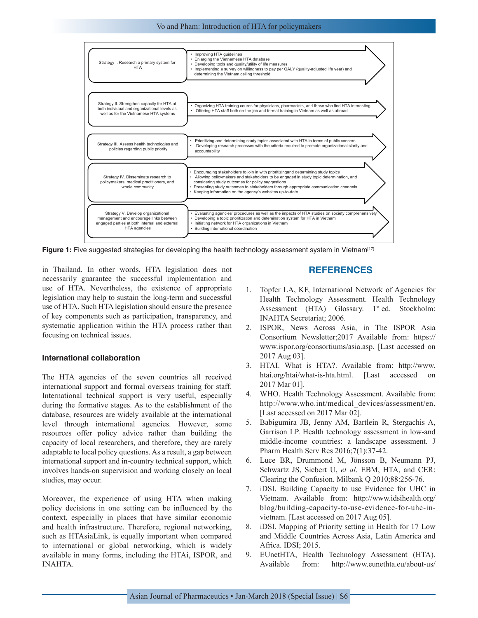

**Figure 1:** Five suggested strategies for developing the health technology assessment system in Vietnam<sup>[17]</sup>

in Thailand. In other words, HTA legislation does not necessarily guarantee the successful implementation and use of HTA. Nevertheless, the existence of appropriate legislation may help to sustain the long-term and successful use of HTA. Such HTA legislation should ensure the presence of key components such as participation, transparency, and systematic application within the HTA process rather than focusing on technical issues.

#### **International collaboration**

The HTA agencies of the seven countries all received international support and formal overseas training for staff. International technical support is very useful, especially during the formative stages. As to the establishment of the database, resources are widely available at the international level through international agencies. However, some resources offer policy advice rather than building the capacity of local researchers, and therefore, they are rarely adaptable to local policy questions. As a result, a gap between international support and in-country technical support, which involves hands-on supervision and working closely on local studies, may occur.

Moreover, the experience of using HTA when making policy decisions in one setting can be influenced by the context, especially in places that have similar economic and health infrastructure. Therefore, regional networking, such as HTAsiaLink, is equally important when compared to international or global networking, which is widely available in many forms, including the HTAi, ISPOR, and INAHTA.

## **REFERENCES**

- 1. Topfer LA, KF, International Network of Agencies for Health Technology Assessment. Health Technology Assessment (HTA) Glossary.  $1<sup>st</sup>$  ed. Stockholm: INAHTA Secretariat; 2006.
- 2. ISPOR, News Across Asia, in The ISPOR Asia Consortium Newsletter;2017 Available from: https:// www.ispor.org/consortiums/asia.asp. [Last accessed on 2017 Aug 03].
- 3. HTAI. What is HTA?. Available from: http://www. htai.org/htai/what-is-hta.html. [Last accessed 2017 Mar 01].
- 4. WHO. Health Technology Assessment. Available from: http://www.who.int/medical\_devices/assessment/en. [Last accessed on 2017 Mar 02].
- 5. Babigumira JB, Jenny AM, Bartlein R, Stergachis A, Garrison LP. Health technology assessment in low-and middle-income countries: a landscape assessment. J Pharm Health Serv Res 2016;7(1):37-42.
- 6. Luce BR, Drummond M, Jönsson B, Neumann PJ, Schwartz JS, Siebert U, *et al*. EBM, HTA, and CER: Clearing the Confusion. Milbank Q 2010;88:256-76.
- 7. iDSI. Building Capacity to use Evidence for UHC in Vietnam. Available from: http://www.idsihealth.org/ blog/building-capacity-to-use-evidence-for-uhc-invietnam. [Last accessed on 2017 Aug 05].
- 8. iDSI. Mapping of Priority setting in Health for 17 Low and Middle Countries Across Asia, Latin America and Africa. IDSI; 2015.
- 9. EUnetHTA, Health Technology Assessment (HTA). Available from: http://www.eunethta.eu/about-us/